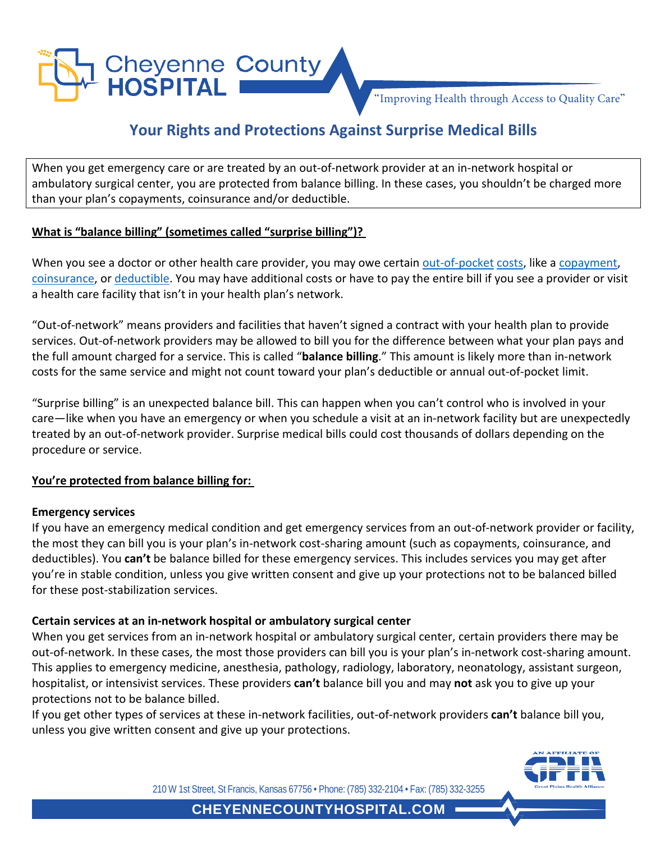

"Improving Health through Access to Quality Care"

# **Your Rights and Protections Against Surprise Medical Bills**

When you get emergency care or are treated by an out-of-network provider at an in-network hospital or ambulatory surgical center, you are protected from balance billing. In these cases, you shouldn't be charged more than your plan's copayments, coinsurance and/or deductible.

## **What is "balance billing" (sometimes called "surprise billing")?**

When you see a doctor or other health care provider, you may owe certain out-of-pocket costs, like a copayment, coinsurance, or deductible. You may have additional costs or have to pay the entire bill if you see a provider or visit a health care facility that isn't in your health plan's network.

"Out-of-network" means providers and facilities that haven't signed a contract with your health plan to provide services. Out-of-network providers may be allowed to bill you for the difference between what your plan pays and the full amount charged for a service. This is called "**balance billing**." This amount is likely more than in-network costs for the same service and might not count toward your plan's deductible or annual out-of-pocket limit.

"Surprise billing" is an unexpected balance bill. This can happen when you can't control who is involved in your care—like when you have an emergency or when you schedule a visit at an in-network facility but are unexpectedly treated by an out-of-network provider. Surprise medical bills could cost thousands of dollars depending on the procedure or service.

# **You're protected from balance billing for:**

#### **Emergency services**

If you have an emergency medical condition and get emergency services from an out-of-network provider or facility, the most they can bill you is your plan's in-network cost-sharing amount (such as copayments, coinsurance, and deductibles). You **can't** be balance billed for these emergency services. This includes services you may get after you're in stable condition, unless you give written consent and give up your protections not to be balanced billed for these post-stabilization services.

# **Certain services at an in-network hospital or ambulatory surgical center**

When you get services from an in-network hospital or ambulatory surgical center, certain providers there may be out-of-network. In these cases, the most those providers can bill you is your plan's in-network cost-sharing amount. This applies to emergency medicine, anesthesia, pathology, radiology, laboratory, neonatology, assistant surgeon, hospitalist, or intensivist services. These providers **can't** balance bill you and may **not** ask you to give up your protections not to be balance billed.

If you get other types of services at these in-network facilities, out-of-network providers **can't** balance bill you, unless you give written consent and give up your protections.



210 W 1st Street, St Francis, Kansas 67756 • Phone: (785) 332-2104 • Fax: (785) 332-3255